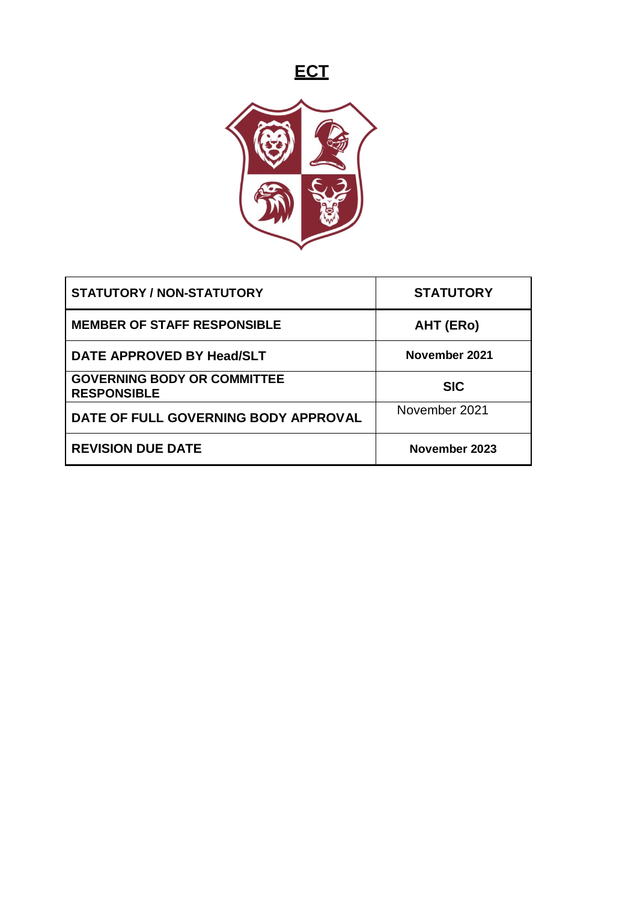



| <b>STATUTORY / NON-STATUTORY</b>                         | <b>STATUTORY</b> |
|----------------------------------------------------------|------------------|
| <b>MEMBER OF STAFF RESPONSIBLE</b>                       | AHT (ERO)        |
| DATE APPROVED BY Head/SLT                                | November 2021    |
| <b>GOVERNING BODY OR COMMITTEE</b><br><b>RESPONSIBLE</b> | <b>SIC</b>       |
| DATE OF FULL GOVERNING BODY APPROVAL                     | November 2021    |
| <b>REVISION DUE DATE</b>                                 | November 2023    |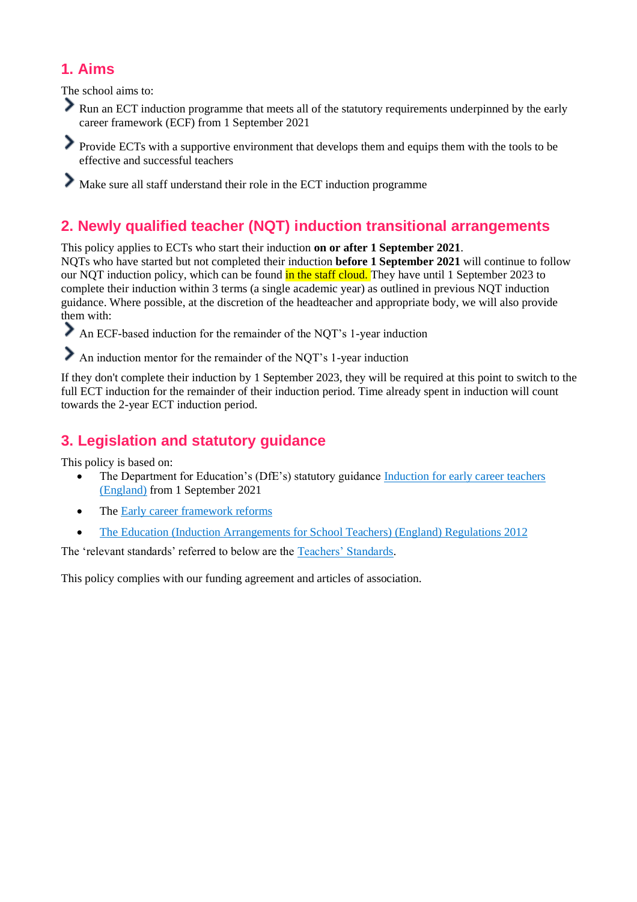# **1. Aims**

The school aims to:

**Run an ECT** induction programme that meets all of the statutory requirements underpinned by the early career framework (ECF) from 1 September 2021

Provide ECTs with a supportive environment that develops them and equips them with the tools to be effective and successful teachers

Make sure all staff understand their role in the ECT induction programme

# **2. Newly qualified teacher (NQT) induction transitional arrangements**

This policy applies to ECTs who start their induction **on or after 1 September 2021**. NQTs who have started but not completed their induction **before 1 September 2021** will continue to follow our NQT induction policy, which can be found in the staff cloud. They have until 1 September 2023 to complete their induction within 3 terms (a single academic year) as outlined in previous NQT induction guidance. Where possible, at the discretion of the headteacher and appropriate body, we will also provide them with:

An ECF-based induction for the remainder of the NQT's 1-year induction

An induction mentor for the remainder of the NQT's 1-year induction

If they don't complete their induction by 1 September 2023, they will be required at this point to switch to the full ECT induction for the remainder of their induction period. Time already spent in induction will count towards the 2-year ECT induction period.

## **3. Legislation and statutory guidance**

This policy is based on:

- The Department for Education's (DfE's) statutory guidance Induction for early career teachers [\(England\)](https://www.gov.uk/government/publications/induction-for-early-career-teachers-england) from 1 September 2021
- The [Early career framework reforms](https://www.gov.uk/government/collections/early-career-framework-reforms)
- [The Education \(Induction Arrangements for School Teachers\) \(England\) Regulations 2012](http://www.legislation.gov.uk/uksi/2012/1115/contents/made)

The 'relevant standards' referred to below are the [Teachers' Standards.](https://www.gov.uk/government/publications/teachers-standards)

This policy complies with our funding agreement and articles of association.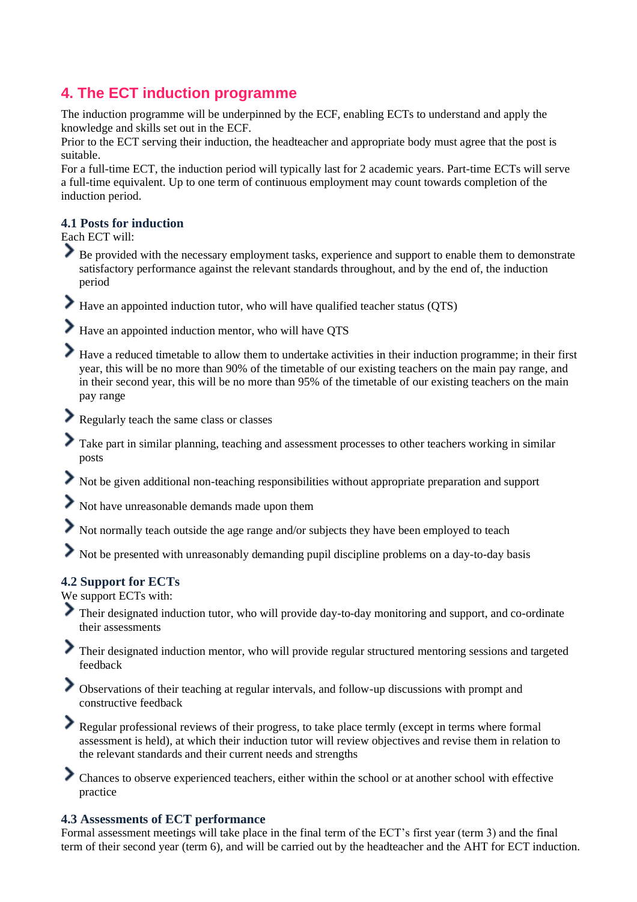# **4. The ECT induction programme**

The induction programme will be underpinned by the ECF, enabling ECTs to understand and apply the knowledge and skills set out in the ECF.

Prior to the ECT serving their induction, the headteacher and appropriate body must agree that the post is suitable.

For a full-time ECT, the induction period will typically last for 2 academic years. Part-time ECTs will serve a full-time equivalent. Up to one term of continuous employment may count towards completion of the induction period.

#### **4.1 Posts for induction**

Each ECT will:

- Be provided with the necessary employment tasks, experience and support to enable them to demonstrate satisfactory performance against the relevant standards throughout, and by the end of, the induction period
- Have an appointed induction tutor, who will have qualified teacher status (QTS)
- Have an appointed induction mentor, who will have QTS
- ⋗ Have a reduced timetable to allow them to undertake activities in their induction programme; in their first year, this will be no more than 90% of the timetable of our existing teachers on the main pay range, and in their second year, this will be no more than 95% of the timetable of our existing teachers on the main pay range
- Regularly teach the same class or classes
- Take part in similar planning, teaching and assessment processes to other teachers working in similar posts
- ⋗ Not be given additional non-teaching responsibilities without appropriate preparation and support
- ≯ Not have unreasonable demands made upon them
- Not normally teach outside the age range and/or subjects they have been employed to teach
- Not be presented with unreasonably demanding pupil discipline problems on a day-to-day basis

#### **4.2 Support for ECTs**

We support ECTs with:

- Their designated induction tutor, who will provide day-to-day monitoring and support, and co-ordinate their assessments
- Their designated induction mentor, who will provide regular structured mentoring sessions and targeted feedback
- Observations of their teaching at regular intervals, and follow-up discussions with prompt and constructive feedback
- Regular professional reviews of their progress, to take place termly (except in terms where formal assessment is held), at which their induction tutor will review objectives and revise them in relation to the relevant standards and their current needs and strengths

Chances to observe experienced teachers, either within the school or at another school with effective practice

### **4.3 Assessments of ECT performance**

Formal assessment meetings will take place in the final term of the ECT's first year (term 3) and the final term of their second year (term 6), and will be carried out by the headteacher and the AHT for ECT induction.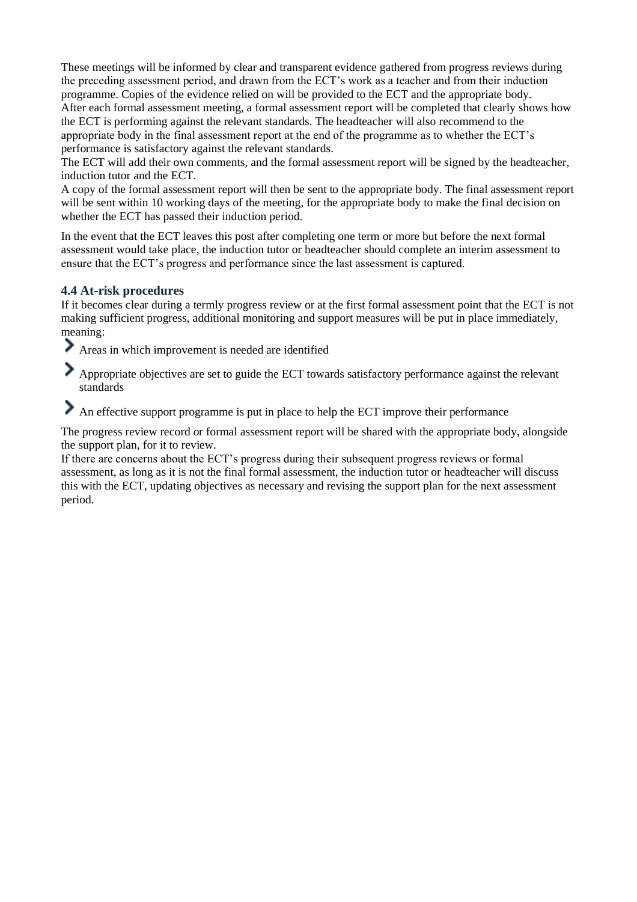These meetings will be informed by clear and transparent evidence gathered from progress reviews during the preceding assessment period, and drawn from the ECT's work as a teacher and from their induction programme. Copies of the evidence relied on will be provided to the ECT and the appropriate body. After each formal assessment meeting, a formal assessment report will be completed that clearly shows how the ECT is performing against the relevant standards. The headteacher will also recommend to the appropriate body in the final assessment report at the end of the programme as to whether the ECT's performance is satisfactory against the relevant standards.

The ECT will add their own comments, and the formal assessment report will be signed by the headteacher, induction tutor and the ECT.

A copy of the formal assessment report will then be sent to the appropriate body. The final assessment report will be sent within 10 working days of the meeting, for the appropriate body to make the final decision on whether the ECT has passed their induction period.

In the event that the ECT leaves this post after completing one term or more but before the next formal assessment would take place, the induction tutor or headteacher should complete an interim assessment to ensure that the ECT's progress and performance since the last assessment is captured.

#### **4.4 At-risk procedures**

If it becomes clear during a termly progress review or at the first formal assessment point that the ECT is not making sufficient progress, additional monitoring and support measures will be put in place immediately, meaning:

- Areas in which improvement is needed are identified
- Appropriate objectives are set to guide the ECT towards satisfactory performance against the relevant standards

An effective support programme is put in place to help the ECT improve their performance

The progress review record or formal assessment report will be shared with the appropriate body, alongside the support plan, for it to review.

If there are concerns about the ECT's progress during their subsequent progress reviews or formal assessment, as long as it is not the final formal assessment, the induction tutor or headteacher will discuss this with the ECT, updating objectives as necessary and revising the support plan for the next assessment period.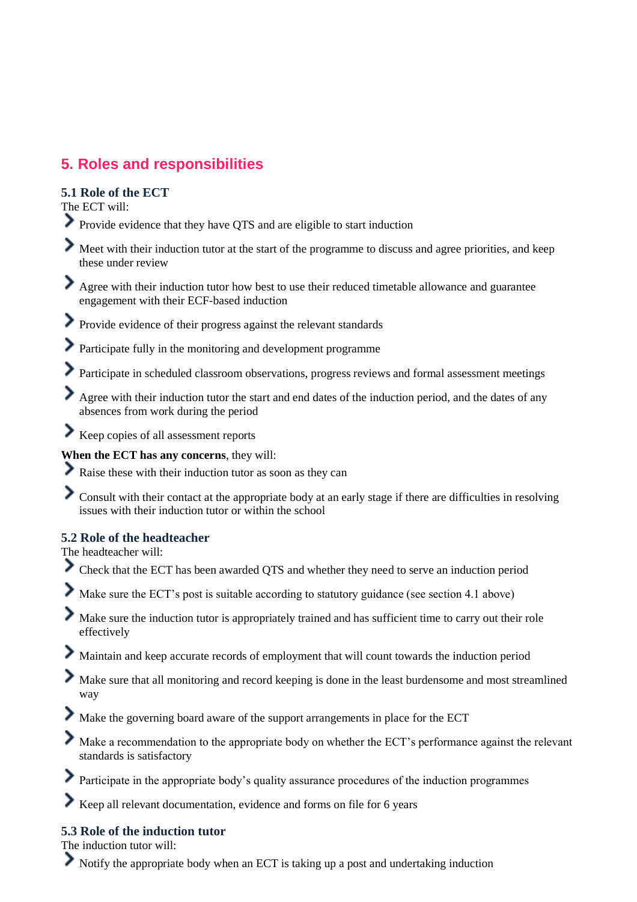# **5. Roles and responsibilities**

#### **5.1 Role of the ECT**

The ECT will:

- Provide evidence that they have QTS and are eligible to start induction
- Meet with their induction tutor at the start of the programme to discuss and agree priorities, and keep these under review
- Agree with their induction tutor how best to use their reduced timetable allowance and guarantee engagement with their ECF-based induction

Provide evidence of their progress against the relevant standards

Participate fully in the monitoring and development programme

⋗ Participate in scheduled classroom observations, progress reviews and formal assessment meetings

Agree with their induction tutor the start and end dates of the induction period, and the dates of any absences from work during the period

Keep copies of all assessment reports

### **When the ECT has any concerns**, they will:

- Raise these with their induction tutor as soon as they can
- Consult with their contact at the appropriate body at an early stage if there are difficulties in resolving issues with their induction tutor or within the school

### **5.2 Role of the headteacher**

The headteacher will:

- Check that the ECT has been awarded QTS and whether they need to serve an induction period
- Make sure the ECT's post is suitable according to statutory guidance (see section 4.1 above)
- Make sure the induction tutor is appropriately trained and has sufficient time to carry out their role effectively
- Maintain and keep accurate records of employment that will count towards the induction period
- Make sure that all monitoring and record keeping is done in the least burdensome and most streamlined way
- Make the governing board aware of the support arrangements in place for the ECT
- ⋗ Make a recommendation to the appropriate body on whether the ECT's performance against the relevant standards is satisfactory
- Participate in the appropriate body's quality assurance procedures of the induction programmes
- Keep all relevant documentation, evidence and forms on file for 6 years

### **5.3 Role of the induction tutor**

The induction tutor will:

Notify the appropriate body when an ECT is taking up a post and undertaking induction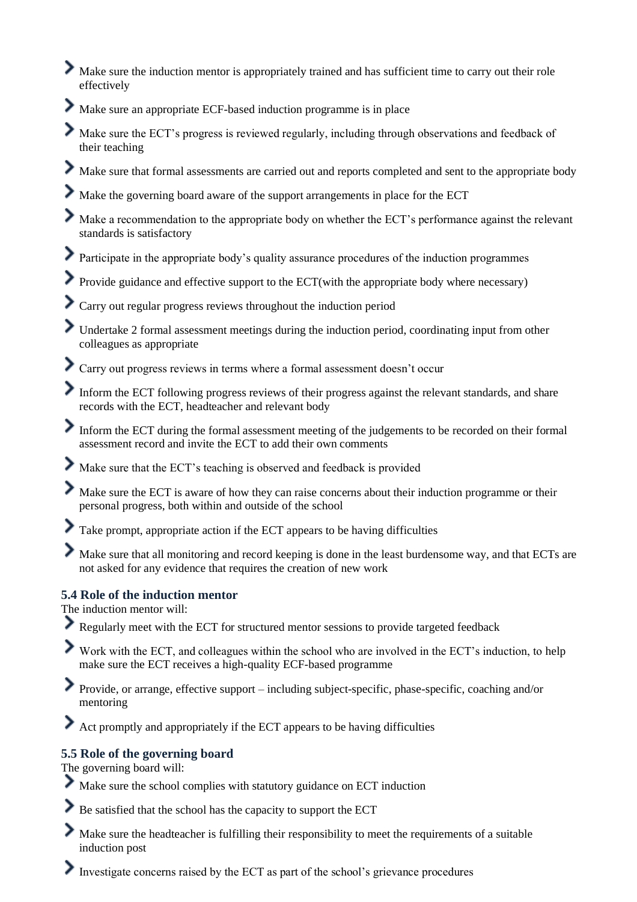- Make sure the induction mentor is appropriately trained and has sufficient time to carry out their role effectively
- Make sure an appropriate ECF-based induction programme is in place
- Make sure the ECT's progress is reviewed regularly, including through observations and feedback of their teaching
- Make sure that formal assessments are carried out and reports completed and sent to the appropriate body
- Make the governing board aware of the support arrangements in place for the ECT
- Make a recommendation to the appropriate body on whether the ECT's performance against the relevant standards is satisfactory
- Participate in the appropriate body's quality assurance procedures of the induction programmes
- Provide guidance and effective support to the ECT(with the appropriate body where necessary)
- Carry out regular progress reviews throughout the induction period
- Undertake 2 formal assessment meetings during the induction period, coordinating input from other colleagues as appropriate
- Carry out progress reviews in terms where a formal assessment doesn't occur
- Inform the ECT following progress reviews of their progress against the relevant standards, and share records with the ECT, headteacher and relevant body
- ≯ Inform the ECT during the formal assessment meeting of the judgements to be recorded on their formal assessment record and invite the ECT to add their own comments
- ≯ Make sure that the ECT's teaching is observed and feedback is provided
- ≯ Make sure the ECT is aware of how they can raise concerns about their induction programme or their personal progress, both within and outside of the school
- Take prompt, appropriate action if the ECT appears to be having difficulties
- ⋗ Make sure that all monitoring and record keeping is done in the least burdensome way, and that ECTs are not asked for any evidence that requires the creation of new work

#### **5.4 Role of the induction mentor**

The induction mentor will:

- Regularly meet with the ECT for structured mentor sessions to provide targeted feedback
- Work with the ECT, and colleagues within the school who are involved in the ECT's induction, to help make sure the ECT receives a high-quality ECF-based programme
- ⋗ Provide, or arrange, effective support – including subject-specific, phase-specific, coaching and/or mentoring
- Act promptly and appropriately if the ECT appears to be having difficulties

### **5.5 Role of the governing board**

The governing board will:

- Make sure the school complies with statutory guidance on ECT induction
- Be satisfied that the school has the capacity to support the ECT
- Make sure the headteacher is fulfilling their responsibility to meet the requirements of a suitable induction post
- Investigate concerns raised by the ECT as part of the school's grievance procedures